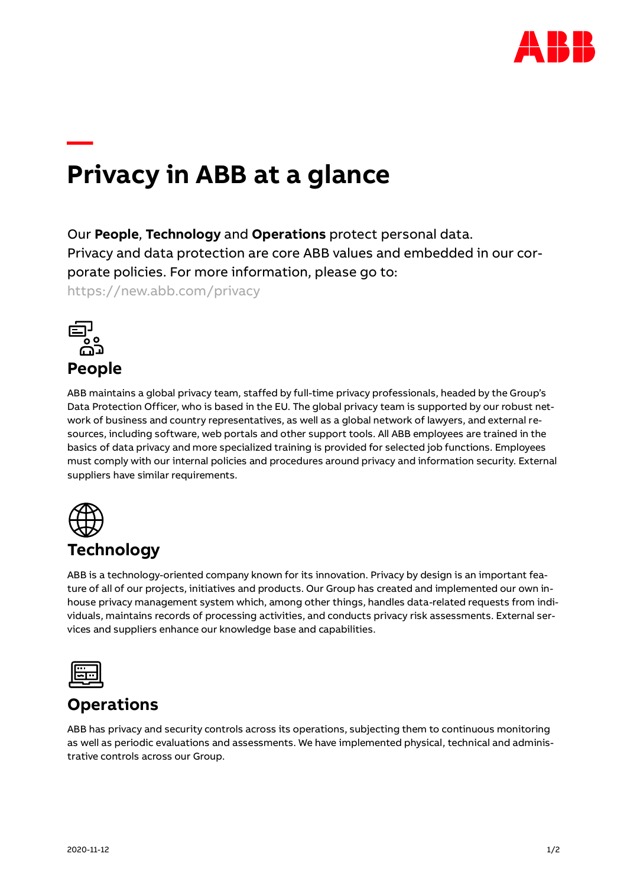

# **Privacy in ABB at a glance**

Our **People**, **Technology** and **Operations** protect personal data. Privacy and data protection are core ABB values and embedded in our corporate policies. For more information, please go to: <https://new.abb.com/privacy>

**People**

**—**

ABB maintains a global privacy team, staffed by full-time privacy professionals, headed by the Group's Data Protection Officer, who is based in the EU. The global privacy team is supported by our robust network of business and country representatives, as well as a global network of lawyers, and external resources, including software, web portals and other support tools. All ABB employees are trained in the basics of data privacy and more specialized training is provided for selected job functions. Employees must comply with our internal policies and procedures around privacy and information security. External suppliers have similar requirements.



## **Technology**

ABB is a technology-oriented company known for its innovation. Privacy by design is an important feature of all of our projects, initiatives and products. Our Group has created and implemented our own inhouse privacy management system which, among other things, handles data-related requests from individuals, maintains records of processing activities, and conducts privacy risk assessments. External services and suppliers enhance our knowledge base and capabilities.



### **Operations**

ABB has privacy and security controls across its operations, subjecting them to continuous monitoring as well as periodic evaluations and assessments. We have implemented physical, technical and administrative controls across our Group.